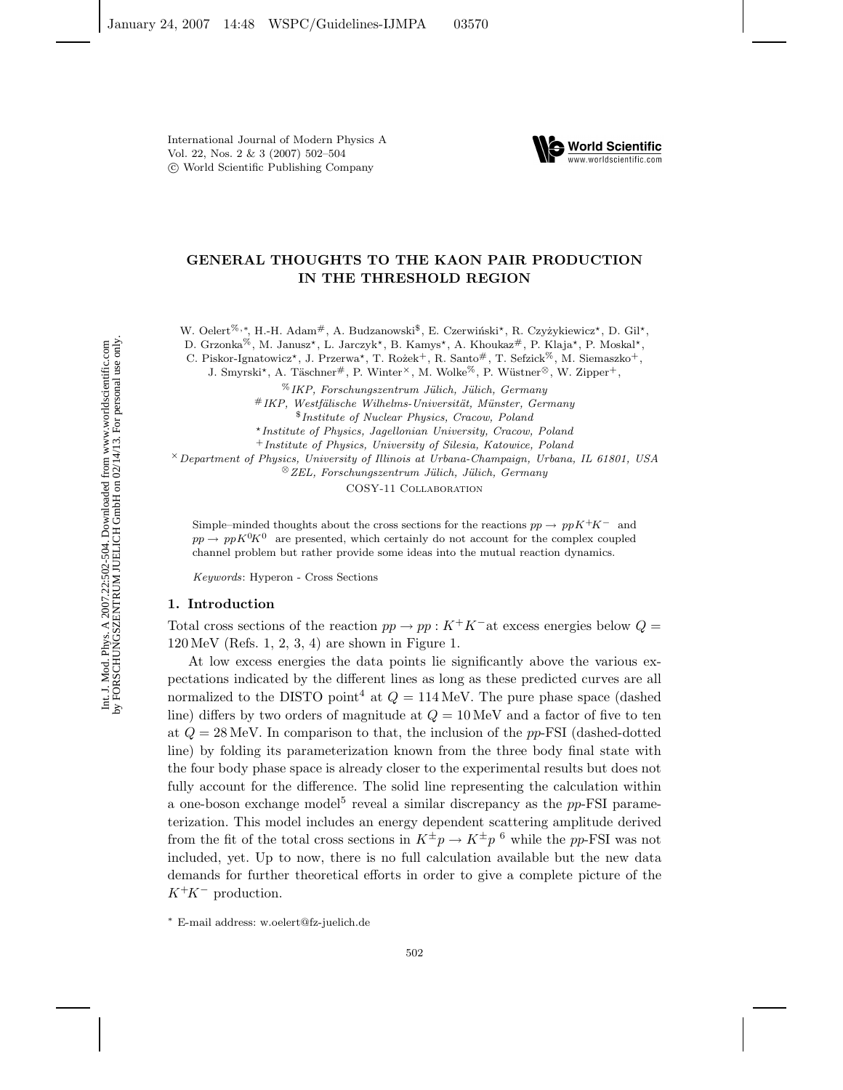

# **GENERAL THOUGHTS TO THE KAON PAIR PRODUCTION IN THE THRESHOLD REGION**

W. Oelert<sup>%,∗</sup>, H.-H. Adam<sup>#</sup>, A. Budzanowski<sup>\$</sup>, E. Czerwiński<sup>\*</sup>, R. Czyżykiewicz<sup>\*</sup>, D. Gil<sup>\*</sup>,

D. Grzonka<br/>%, M. Janusz\*, L. Jarczyk\*, B. Kamys\*, A. Khoukaz#, P. Klaja\*, P. Moskal\*

C. Piskor-Ignatowicz\*, J. Przerwa\*, T. Rożek+, R. Santo#, T. Sefzick<sup>%</sup>, M. Siemaszko<sup>+</sup>,

J. Smyrski<sup>\*</sup>, A. Täschner<sup>#</sup>, P. Winter<sup>×</sup>, M. Wolke<sup>%</sup>, P. Wüstner<sup>⊗</sup>, W. Zipper<sup>+</sup>,

%*IKP, Forschungszentrum J¨ulich, J¨ulich, Germany* #*IKP, Westf¨alische Wilhelms-Universit¨at, M¨unster, Germany* \$*Institute of Nuclear Physics, Cracow, Poland Institute of Physics, Jagellonian University, Cracow, Poland*

<sup>+</sup>*Institute of Physics, University of Silesia, Katowice, Poland*

×*Department of Physics, University of Illinois at Urbana-Champaign, Urbana, IL 61801, USA*

⊗*ZEL, Forschungszentrum J¨ulich, J¨ulich, Germany*

COSY-11 Collaboration

Simple–minded thoughts about the cross sections for the reactions  $pp \to ppK^+K^-$  and  $pp \to pp K^0 K^0$  are presented, which certainly do not account for the complex coupled channel problem but rather provide some ideas into the mutual reaction dynamics.

*Keywords*: Hyperon - Cross Sections

## **1. Introduction**

Total cross sections of the reaction  $pp \to pp : K^+K^-$  at excess energies below  $Q =$  $120 \,\text{MeV}$  (Refs. 1, 2, 3, 4) are shown in Figure 1.

At low excess energies the data points lie significantly above the various expectations indicated by the different lines as long as these predicted curves are all normalized to the DISTO point<sup>4</sup> at  $Q = 114$  MeV. The pure phase space (dashed line) differs by two orders of magnitude at  $Q = 10$  MeV and a factor of five to ten at  $Q = 28$  MeV. In comparison to that, the inclusion of the pp-FSI (dashed-dotted line) by folding its parameterization known from the three body final state with the four body phase space is already closer to the experimental results but does not fully account for the difference. The solid line representing the calculation within a one-boson exchange model<sup>5</sup> reveal a similar discrepancy as the  $pp$ -FSI parameterization. This model includes an energy dependent scattering amplitude derived from the fit of the total cross sections in  $K^{\pm}p \to K^{\pm}p^6$  while the pp-FSI was not included, yet. Up to now, there is no full calculation available but the new data demands for further theoretical efforts in order to give a complete picture of the K<sup>+</sup>K*<sup>−</sup>* production.

<sup>∗</sup> E-mail address: w.oelert@fz-juelich.de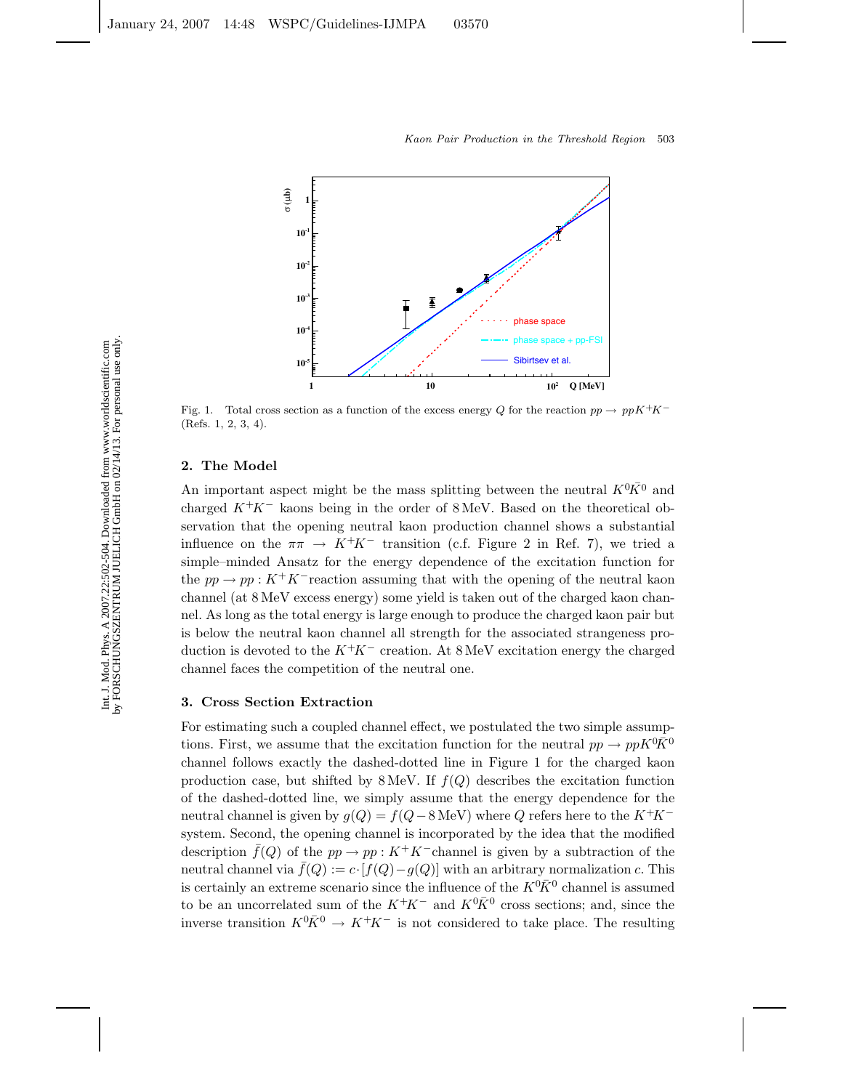

Fig. 1. Total cross section as a function of the excess energy *Q* for the reaction  $pp \rightarrow ppK^+K^-$ (Refs. 1, 2, 3, 4).

# **2. The Model**

An important aspect might be the mass splitting between the neutral  $K^{0} \overline{K}^{0}$  and charged  $K^{+}K^{-}$  leages being in the order of  $8 \text{ MeV}$ . Based on the theoretical obcharged K<sup>+</sup>K*<sup>−</sup>* kaons being in the order of 8 MeV. Based on the theoretical observation that the opening neutral kaon production channel shows a substantial influence on the  $\pi \pi \to K^+ K^-$  transition (c.f. Figure 2 in Ref. 7), we tried a simple–minded Ansatz for the energy dependence of the excitation function for the  $pp \to pp : K^+K^-$  reaction assuming that with the opening of the neutral kaon channel (at 8 MeV excess energy) some yield is taken out of the charged kaon channel. As long as the total energy is large enough to produce the charged kaon pair but is below the neutral kaon channel all strength for the associated strangeness production is devoted to the K<sup>+</sup>K*<sup>−</sup>* creation. At 8 MeV excitation energy the charged channel faces the competition of the neutral one.

# **3. Cross Section Extraction**

For estimating such a coupled channel effect, we postulated the two simple assumptions. First, we assume that the excitation function for the neutral  $pp \to ppK^0\bar{K}^0$ <br>channel follows exactly the dechod detted line in Figure 1 for the charged keep channel follows exactly the dashed-dotted line in Figure 1 for the charged kaon production case, but shifted by 8 MeV. If  $f(Q)$  describes the excitation function of the dashed-dotted line, we simply assume that the energy dependence for the neutral channel is given by  $g(Q) = f(Q - 8 \text{ MeV})$  where Q refers here to the  $K^+K^$ system. Second, the opening channel is incorporated by the idea that the modified description  $\bar{f}(Q)$  of the  $pp \to pp : K^+K^-$ channel is given by a subtraction of the neutral channel via  $\bar{f}(Q) := c \cdot [f(Q) - g(Q)]$  with an arbitrary normalization c. This is certainly an extreme scenario since the influence of the  $K^0\bar{K}^0$  channel is assumed<br>to be an uncerrelated sum of the  $K^+K^-$  and  $K^0\bar{K}^0$  gross sections; and since the to be an uncorrelated sum of the  $K^+K^-$  and  $K^0\bar{K}^0$  cross sections; and, since the<br>inverse transition  $K^0\bar{K}^0 \rightarrow K^+K^-$  is not considered to take place. The resulting inverse transition  $K^0 \overline{K}^0 \to K^+ K^-$  is not considered to take place. The resulting